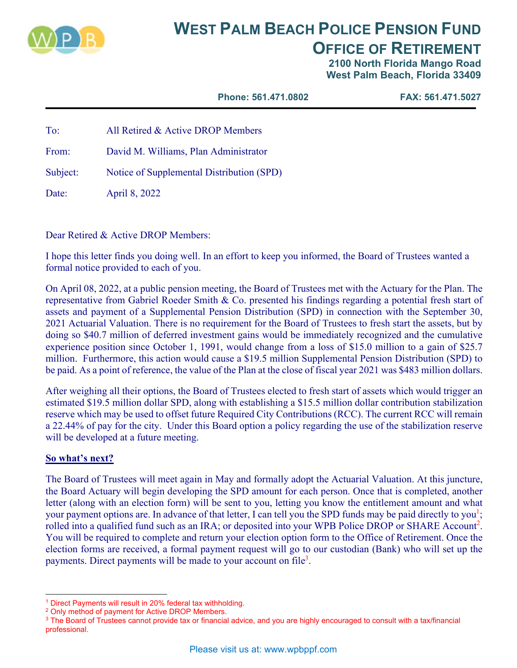

# **WEST PALM BEACH POLICE PENSION FUND OFFICE OF RETIREMENT**

**2100 North Florida Mango Road West Palm Beach, Florida 33409** 

**Phone: 561.471.0802 FAX: 561.471.5027** 

To: All Retired & Active DROP Members

From: David M. Williams, Plan Administrator

Subject: Notice of Supplemental Distribution (SPD)

Date: April 8, 2022

Dear Retired & Active DROP Members:

I hope this letter finds you doing well. In an effort to keep you informed, the Board of Trustees wanted a formal notice provided to each of you.

On April 08, 2022, at a public pension meeting, the Board of Trustees met with the Actuary for the Plan. The representative from Gabriel Roeder Smith & Co. presented his findings regarding a potential fresh start of assets and payment of a Supplemental Pension Distribution (SPD) in connection with the September 30, 2021 Actuarial Valuation. There is no requirement for the Board of Trustees to fresh start the assets, but by doing so \$40.7 million of deferred investment gains would be immediately recognized and the cumulative experience position since October 1, 1991, would change from a loss of \$15.0 million to a gain of \$25.7 million. Furthermore, this action would cause a \$19.5 million Supplemental Pension Distribution (SPD) to be paid. As a point of reference, the value of the Plan at the close of fiscal year 2021 was \$483 million dollars.

After weighing all their options, the Board of Trustees elected to fresh start of assets which would trigger an estimated \$19.5 million dollar SPD, along with establishing a \$15.5 million dollar contribution stabilization reserve which may be used to offset future Required City Contributions (RCC). The current RCC will remain a 22.44% of pay for the city. Under this Board option a policy regarding the use of the stabilization reserve will be developed at a future meeting.

### **So what's next?**

The Board of Trustees will meet again in May and formally adopt the Actuarial Valuation. At this juncture, the Board Actuary will begin developing the SPD amount for each person. Once that is completed, another letter (along with an election form) will be sent to you, letting you know the entitlement amount and what your payment options are. In advance of that letter, I can tell you the SPD funds may be paid directly to you<sup>1</sup>; rolled into a qualified fund such as an IRA; or deposited into your WPB Police DROP or SHARE Account<sup>2</sup>. You will be required to complete and return your election option form to the Office of Retirement. Once the election forms are received, a formal payment request will go to our custodian (Bank) who will set up the payments. Direct payments will be made to your account on file<sup>3</sup>.

 $1$  Direct Payments will result in 20% federal tax withholding.<br><sup>2</sup> Only method of payment for Active DROP Members.

<sup>&</sup>lt;sup>3</sup> The Board of Trustees cannot provide tax or financial advice, and you are highly encouraged to consult with a tax/financial professional.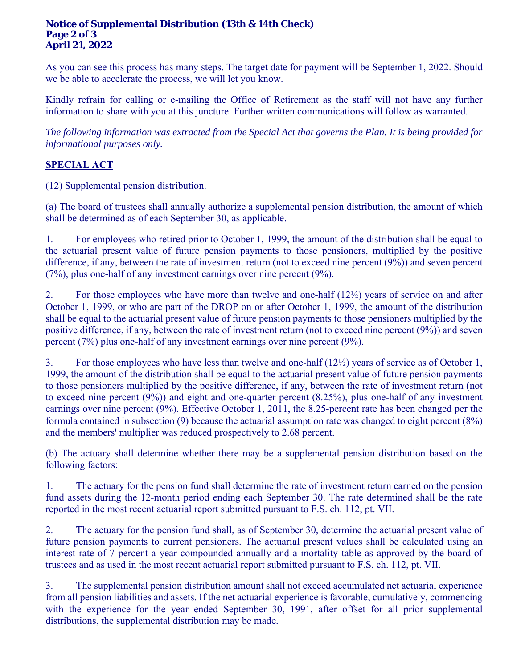#### **Notice of Supplemental Distribution (13th & 14th Check) Page 2 of 3 April 21, 2022**

As you can see this process has many steps. The target date for payment will be September 1, 2022. Should we be able to accelerate the process, we will let you know.

Kindly refrain for calling or e-mailing the Office of Retirement as the staff will not have any further information to share with you at this juncture. Further written communications will follow as warranted.

*The following information was extracted from the Special Act that governs the Plan. It is being provided for informational purposes only.* 

## **SPECIAL ACT**

(12) Supplemental pension distribution.

(a) The board of trustees shall annually authorize a supplemental pension distribution, the amount of which shall be determined as of each September 30, as applicable.

1. For employees who retired prior to October 1, 1999, the amount of the distribution shall be equal to the actuarial present value of future pension payments to those pensioners, multiplied by the positive difference, if any, between the rate of investment return (not to exceed nine percent (9%)) and seven percent (7%), plus one-half of any investment earnings over nine percent (9%).

2. For those employees who have more than twelve and one-half (12½) years of service on and after October 1, 1999, or who are part of the DROP on or after October 1, 1999, the amount of the distribution shall be equal to the actuarial present value of future pension payments to those pensioners multiplied by the positive difference, if any, between the rate of investment return (not to exceed nine percent (9%)) and seven percent (7%) plus one-half of any investment earnings over nine percent (9%).

3. For those employees who have less than twelve and one-half (12½) years of service as of October 1, 1999, the amount of the distribution shall be equal to the actuarial present value of future pension payments to those pensioners multiplied by the positive difference, if any, between the rate of investment return (not to exceed nine percent (9%)) and eight and one-quarter percent (8.25%), plus one-half of any investment earnings over nine percent (9%). Effective October 1, 2011, the 8.25-percent rate has been changed per the formula contained in subsection (9) because the actuarial assumption rate was changed to eight percent (8%) and the members' multiplier was reduced prospectively to 2.68 percent.

(b) The actuary shall determine whether there may be a supplemental pension distribution based on the following factors:

1. The actuary for the pension fund shall determine the rate of investment return earned on the pension fund assets during the 12-month period ending each September 30. The rate determined shall be the rate reported in the most recent actuarial report submitted pursuant to F.S. ch. 112, pt. VII.

2. The actuary for the pension fund shall, as of September 30, determine the actuarial present value of future pension payments to current pensioners. The actuarial present values shall be calculated using an interest rate of 7 percent a year compounded annually and a mortality table as approved by the board of trustees and as used in the most recent actuarial report submitted pursuant to F.S. ch. 112, pt. VII.

3. The supplemental pension distribution amount shall not exceed accumulated net actuarial experience from all pension liabilities and assets. If the net actuarial experience is favorable, cumulatively, commencing with the experience for the year ended September 30, 1991, after offset for all prior supplemental distributions, the supplemental distribution may be made.